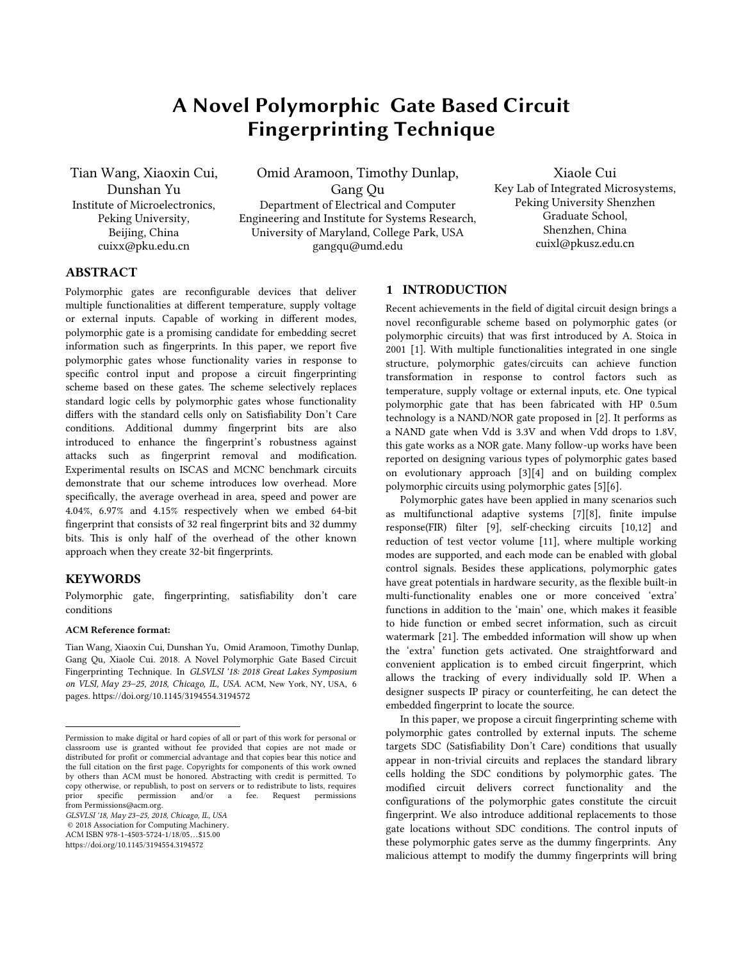# A Novel Polymorphic Gate Based Circuit Fingerprinting Technique

Tian Wang, Xiaoxin Cui, Dunshan Yu Institute of Microelectronics, Peking University, Beijing, China cuixx@pku.edu.cn

Omid Aramoon, Timothy Dunlap, Gang Qu Department of Electrical and Computer Engineering and Institute for Systems Research, University of Maryland, College Park, USA gangqu@umd.edu

Xiaole Cui Key Lab of Integrated Microsystems, Peking University Shenzhen Graduate School, Shenzhen, China cuixl@pkusz.edu.cn

# ABSTRACT

Polymorphic gates are reconfigurable devices that deliver multiple functionalities at different temperature, supply voltage or external inputs. Capable of working in different modes, polymorphic gate is a promising candidate for embedding secret information such as fingerprints. In this paper, we report five polymorphic gates whose functionality varies in response to specific control input and propose a circuit fingerprinting scheme based on these gates. The scheme selectively replaces standard logic cells by polymorphic gates whose functionality differs with the standard cells only on Satisfiability Don't Care conditions. Additional dummy fingerprint bits are also introduced to enhance the fingerprint's robustness against attacks such as fingerprint removal and modification. Experimental results on ISCAS and MCNC benchmark circuits demonstrate that our scheme introduces low overhead. More specifically, the average overhead in area, speed and power are 4.04%, 6.97% and 4.15% respectively when we embed 64-bit fingerprint that consists of 32 real fingerprint bits and 32 dummy bits. This is only half of the overhead of the other known approach when they create 32-bit fingerprints.

## **KEYWORDS**

 $\overline{a}$ 

Polymorphic gate, fingerprinting, satisfiability don't care conditions

#### ACM Reference format:

Tian Wang, Xiaoxin Cui, Dunshan Yu, Omid Aramoon, Timothy Dunlap, Gang Qu, Xiaole Cui. 2018. A Novel Polymorphic Gate Based Circuit Fingerprinting Technique. In *GLSVLSI '18: 2018 Great Lakes Symposium on VLSI, May 23–25, 2018, Chicago, IL, USA*. ACM, New York, NY, USA, 6 pages. https://doi.org/10.1145/3194554.3194572

*GLSVLSI '18, May 23–25, 2018, Chicago, IL, USA*

© 2018 Association for Computing Machinery. ACM ISBN 978-1-4503-5724-1/18/05…\$15.00

https://doi.org/10.1145/3194554.3194572

#### 1 INTRODUCTION

Recent achievements in the field of digital circuit design brings a novel reconfigurable scheme based on polymorphic gates (or polymorphic circuits) that was first introduced by A. Stoica in 2001 [1]. With multiple functionalities integrated in one single structure, polymorphic gates/circuits can achieve function transformation in response to control factors such as temperature, supply voltage or external inputs, etc. One typical polymorphic gate that has been fabricated with HP 0.5um technology is a NAND/NOR gate proposed in [2]. It performs as a NAND gate when Vdd is 3.3V and when Vdd drops to 1.8V, this gate works as a NOR gate. Many follow-up works have been reported on designing various types of polymorphic gates based on evolutionary approach [3][4] and on building complex polymorphic circuits using polymorphic gates [5][6].

Polymorphic gates have been applied in many scenarios such as multifunctional adaptive systems [7][8], finite impulse response(FIR) filter [9], self-checking circuits [10,12] and reduction of test vector volume [11], where multiple working modes are supported, and each mode can be enabled with global control signals. Besides these applications, polymorphic gates have great potentials in hardware security, as the flexible built-in multi-functionality enables one or more conceived 'extra' functions in addition to the 'main' one, which makes it feasible to hide function or embed secret information, such as circuit watermark [21]. The embedded information will show up when the 'extra' function gets activated. One straightforward and convenient application is to embed circuit fingerprint, which allows the tracking of every individually sold IP. When a designer suspects IP piracy or counterfeiting, he can detect the embedded fingerprint to locate the source.

In this paper, we propose a circuit fingerprinting scheme with polymorphic gates controlled by external inputs. The scheme targets SDC (Satisfiability Don't Care) conditions that usually appear in non-trivial circuits and replaces the standard library cells holding the SDC conditions by polymorphic gates. The modified circuit delivers correct functionality and the configurations of the polymorphic gates constitute the circuit fingerprint. We also introduce additional replacements to those gate locations without SDC conditions. The control inputs of these polymorphic gates serve as the dummy fingerprints. Any malicious attempt to modify the dummy fingerprints will bring

Permission to make digital or hard copies of all or part of this work for personal or classroom use is granted without fee provided that copies are not made or distributed for profit or commercial advantage and that copies bear this notice and the full citation on the first page. Copyrights for components of this work owned by others than ACM must be honored. Abstracting with credit is permitted. To copy otherwise, or republish, to post on servers or to redistribute to lists, requires prior specific permission and/or a fee. Request permissions from [Permissions@acm.org.](mailto:Permissions@acm.org)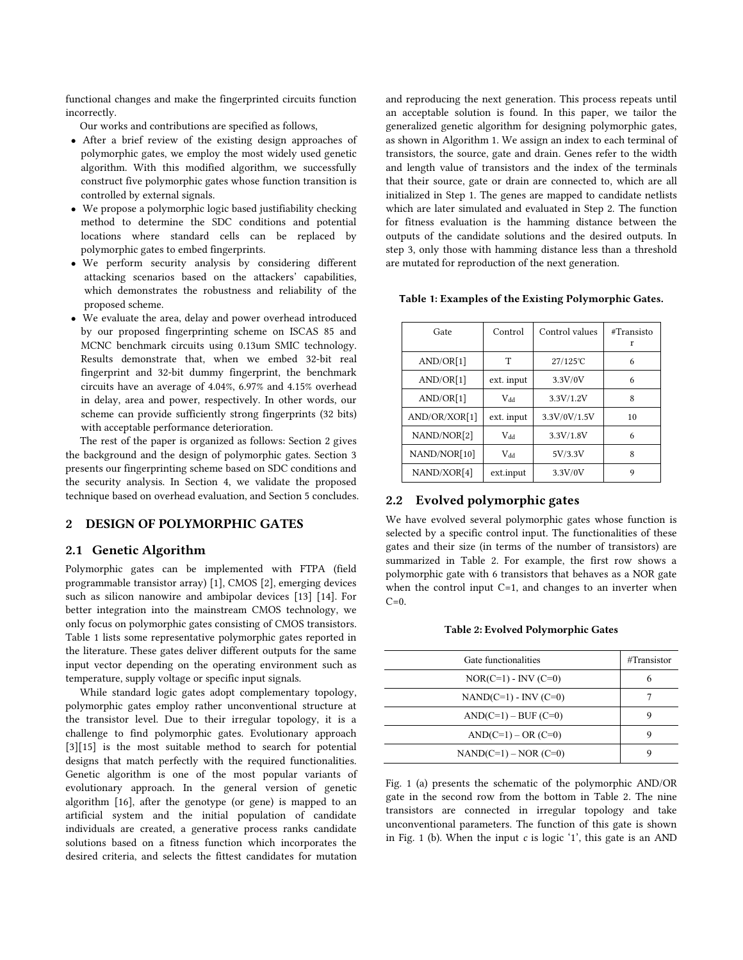functional changes and make the fingerprinted circuits function incorrectly.

Our works and contributions are specified as follows,

- After a brief review of the existing design approaches of polymorphic gates, we employ the most widely used genetic algorithm. With this modified algorithm, we successfully construct five polymorphic gates whose function transition is controlled by external signals.
- We propose a polymorphic logic based justifiability checking method to determine the SDC conditions and potential locations where standard cells can be replaced by polymorphic gates to embed fingerprints.
- We perform security analysis by considering different attacking scenarios based on the attackers' capabilities, which demonstrates the robustness and reliability of the proposed scheme.
- We evaluate the area, delay and power overhead introduced by our proposed fingerprinting scheme on ISCAS 85 and MCNC benchmark circuits using 0.13um SMIC technology. Results demonstrate that, when we embed 32-bit real fingerprint and 32-bit dummy fingerprint, the benchmark circuits have an average of 4.04%, 6.97% and 4.15% overhead in delay, area and power, respectively. In other words, our scheme can provide sufficiently strong fingerprints (32 bits) with acceptable performance deterioration.

The rest of the paper is organized as follows: Section 2 gives the background and the design of polymorphic gates. Section 3 presents our fingerprinting scheme based on SDC conditions and the security analysis. In Section 4, we validate the proposed technique based on overhead evaluation, and Section 5 concludes.

## 2 DESIGN OF POLYMORPHIC GATES

#### 2.1 Genetic Algorithm

Polymorphic gates can be implemented with FTPA (field programmable transistor array) [1], CMOS [2], emerging devices such as silicon nanowire and ambipolar devices [13] [14]. For better integration into the mainstream CMOS technology, we only focus on polymorphic gates consisting of CMOS transistors. Table 1 lists some representative polymorphic gates reported in the literature. These gates deliver different outputs for the same input vector depending on the operating environment such as temperature, supply voltage or specific input signals.

While standard logic gates adopt complementary topology, polymorphic gates employ rather unconventional structure at the transistor level. Due to their irregular topology, it is a challenge to find polymorphic gates. Evolutionary approach [3][15] is the most suitable method to search for potential designs that match perfectly with the required functionalities. Genetic algorithm is one of the most popular variants of evolutionary approach. In the general version of genetic algorithm [16], after the genotype (or gene) is mapped to an artificial system and the initial population of candidate individuals are created, a generative process ranks candidate solutions based on a fitness function which incorporates the desired criteria, and selects the fittest candidates for mutation and reproducing the next generation. This process repeats until an acceptable solution is found. In this paper, we tailor the generalized genetic algorithm for designing polymorphic gates, as shown in Algorithm 1. We assign an index to each terminal of transistors, the source, gate and drain. Genes refer to the width and length value of transistors and the index of the terminals that their source, gate or drain are connected to, which are all initialized in Step 1. The genes are mapped to candidate netlists which are later simulated and evaluated in Step 2. The function for fitness evaluation is the hamming distance between the outputs of the candidate solutions and the desired outputs. In step 3, only those with hamming distance less than a threshold are mutated for reproduction of the next generation.

Table 1: Examples of the Existing Polymorphic Gates.

| Gate          | Control    | Control values | #Transisto<br>r |
|---------------|------------|----------------|-----------------|
| AND/OR[1]     | T          | 27/125℃        | 6               |
| AND/OR[1]     | ext. input | 3.3V/0V        | 6               |
| AND/OR[1]     | $V_{dd}$   | 3.3V/1.2V      | 8               |
| AND/OR/XOR[1] | ext. input | 3.3V/0V/1.5V   | 10              |
| NAND/NOR[2]   | $V_{dd}$   | 3.3V/1.8V      | 6               |
| NAND/NOR[10]  | Vdd        | 5V/3.3V        | 8               |
| NAND/XOR[4]   | ext.input  | 3.3V/0V        | 9               |

# 2.2 Evolved polymorphic gates

We have evolved several polymorphic gates whose function is selected by a specific control input. The functionalities of these gates and their size (in terms of the number of transistors) are summarized in Table 2. For example, the first row shows a polymorphic gate with 6 transistors that behaves as a NOR gate when the control input C=1, and changes to an inverter when  $C=0$ .

|  |  |  | Table 2: Evolved Polymorphic Gates |
|--|--|--|------------------------------------|
|--|--|--|------------------------------------|

| Gate functionalities   | #Transistor |
|------------------------|-------------|
| $NOR(C=1) - INV(C=0)$  | 6           |
| $NAND(C=1) - INV(C=0)$ |             |
| $AND(C=1) - BUF(C=0)$  |             |
| $AND(C=1) - OR (C=0)$  |             |
| $NAND(C=1) - NOR(C=0)$ |             |

Fig. 1 (a) presents the schematic of the polymorphic AND/OR gate in the second row from the bottom in Table 2. The nine transistors are connected in irregular topology and take unconventional parameters. The function of this gate is shown in Fig. 1 (b). When the input *c* is logic '1', this gate is an AND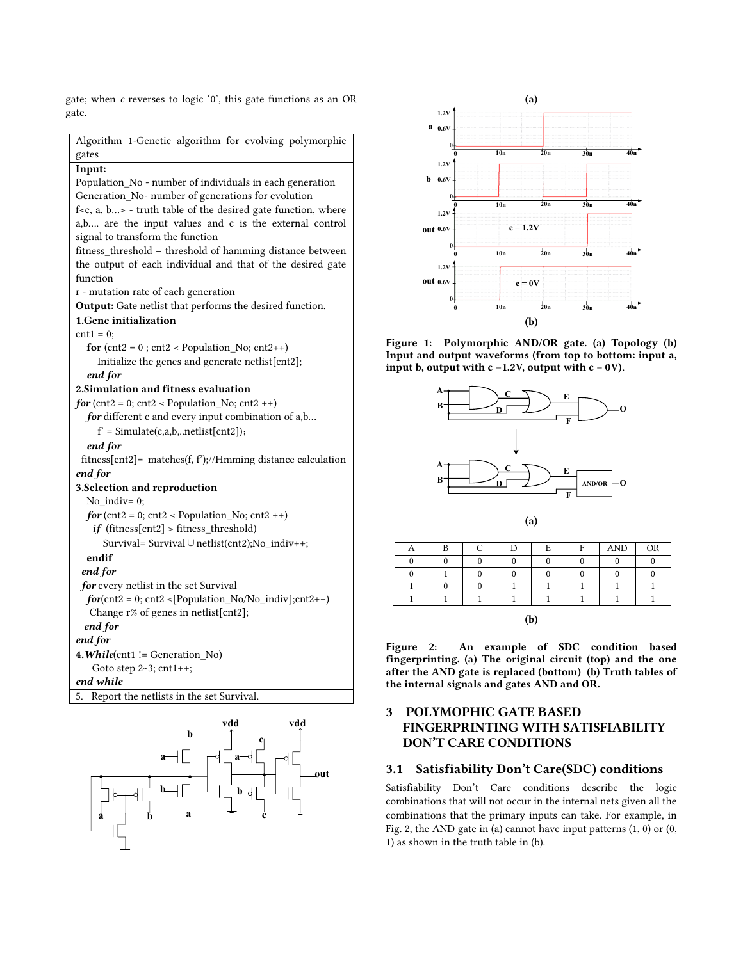gate; when *c* reverses to logic '0', this gate functions as an OR gate.

| Algorithm 1-Genetic algorithm for evolving polymorphic                        |
|-------------------------------------------------------------------------------|
| gates                                                                         |
| Input:                                                                        |
| Population_No - number of individuals in each generation                      |
| Generation_No- number of generations for evolution                            |
| f <c, a,="" b=""> - truth table of the desired gate function, where</c,>      |
| a,b are the input values and c is the external control                        |
| signal to transform the function                                              |
| fitness_threshold - threshold of hamming distance between                     |
| the output of each individual and that of the desired gate                    |
| function                                                                      |
| r - mutation rate of each generation                                          |
| Output: Gate netlist that performs the desired function.                      |
| 1. Gene initialization                                                        |
| $\text{cnt1} = 0$ ;                                                           |
| for $(\text{cnt2} = 0; \text{cnt2} < \text{Population}_N$ , $\text{cnt2++}$ ) |
| Initialize the genes and generate netlist[cnt2];                              |
| end for                                                                       |
| 2. Simulation and fitness evaluation                                          |
| $for (cnt2 = 0; cnt2 < Population_No; cnt2++)$                                |
| for different c and every input combination of a,b                            |
| $f' = Simulate(c,a,b,netlist[cnt2]);$                                         |
| end for                                                                       |
| fitness[cnt2]= matches(f, $f$ );//Hmming distance calculation                 |
| end for                                                                       |
| 3.Selection and reproduction                                                  |
| No indiv= $0$ ;                                                               |
| $for$ (cnt2 = 0; cnt2 < Population_No; cnt2 ++)                               |
| $if$ (fitness[cnt2] > fitness_threshold)                                      |
| Survival= Survival $\cup$ netlist(cnt2); No indiv++;                          |
| endif                                                                         |
| end for                                                                       |
| for every netlist in the set Survival                                         |
| $for (cnt2 = 0; cnt2 < [Population_No/No\_indiv]; cnt2++)$                    |
| Change r% of genes in netlist[cnt2];                                          |
| end for                                                                       |
| end for                                                                       |
| 4. While(cnt1 != Generation_No)                                               |
| Goto step 2~3; cnt1++;                                                        |
| end while                                                                     |
| Report the netlists in the set Survival.<br>5.                                |





Figure 1: Polymorphic AND/OR gate. (a) Topology (b) Input and output waveforms (from top to bottom: input a, input b, output with  $c = 1.2V$ , output with  $c = 0V$ .



|     | $\mathbf{D}$ |  | r | г | r | $\mbox{{\sc And}}$ | <b>OR</b> |
|-----|--------------|--|---|---|---|--------------------|-----------|
|     |              |  |   |   |   |                    |           |
|     |              |  |   |   |   |                    |           |
|     |              |  |   |   |   |                    |           |
|     |              |  |   |   |   |                    |           |
| (b) |              |  |   |   |   |                    |           |

Figure 2: An example of SDC condition based fingerprinting. (a) The original circuit (top) and the one after the AND gate is replaced (bottom) (b) Truth tables of the internal signals and gates AND and OR.

# 3 POLYMOPHIC GATE BASED FINGERPRINTING WITH SATISFIABILITY DON'T CARE CONDITIONS

# 3.1 Satisfiability Don't Care(SDC) conditions

Satisfiability Don't Care conditions describe the logic combinations that will not occur in the internal nets given all the combinations that the primary inputs can take. For example, in Fig. 2, the AND gate in (a) cannot have input patterns  $(1, 0)$  or  $(0, 0)$ 1) as shown in the truth table in (b).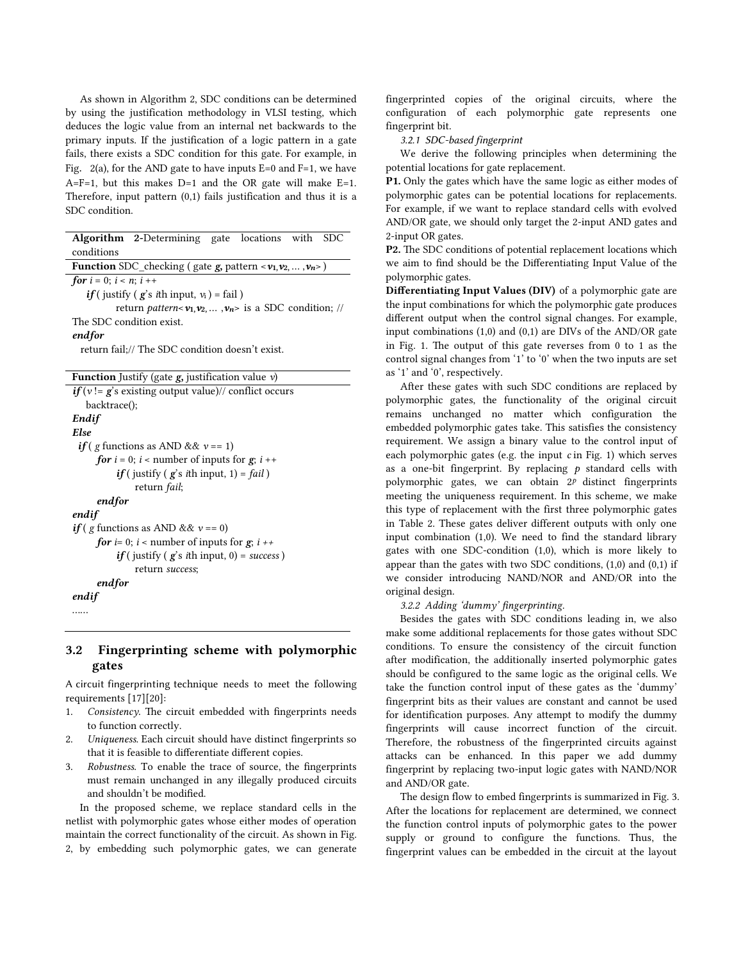As shown in Algorithm 2, SDC conditions can be determined by using the justification methodology in VLSI testing, which deduces the logic value from an internal net backwards to the primary inputs. If the justification of a logic pattern in a gate fails, there exists a SDC condition for this gate. For example, in Fig. 2(a), for the AND gate to have inputs  $E=0$  and  $F=1$ , we have A=F=1, but this makes  $D=1$  and the OR gate will make  $E=1$ . Therefore, input pattern (0,1) fails justification and thus it is a SDC condition.

| <b>Algorithm 2-Determining gate locations with</b><br><b>SDC</b>         |  |  |  |  |
|--------------------------------------------------------------------------|--|--|--|--|
| conditions                                                               |  |  |  |  |
| <b>Function</b> SDC_checking (gate $g$ , pattern < $v_1, v_2, , v_n$ >)  |  |  |  |  |
| for $i = 0$ ; $i < n$ ; $i + +$                                          |  |  |  |  |
| $if$ ( justify ( $g$ 's <i>i</i> th input, $v_i$ ) = fail)               |  |  |  |  |
| return <i>pattern</i> < $v_1, v_2, \ldots, v_n$ > is a SDC condition; // |  |  |  |  |
| The SDC condition exist.                                                 |  |  |  |  |
| endfor                                                                   |  |  |  |  |
| return fail;// The SDC condition doesn't exist.                          |  |  |  |  |
|                                                                          |  |  |  |  |
| <b>Function</b> Justify (gate $g$ , justification value $v$ )            |  |  |  |  |
| $if(v)=g's$ existing output value)// conflict occurs                     |  |  |  |  |
| backtrace();                                                             |  |  |  |  |
| Endif                                                                    |  |  |  |  |
| Else                                                                     |  |  |  |  |
| <i>if</i> ( <i>g</i> functions as AND && $v == 1$ )                      |  |  |  |  |
| <b>for</b> $i = 0$ ; $i <$ number of inputs for <b>g</b> ; $i +$         |  |  |  |  |
| <i>if</i> (justify ( $g$ 's <i>i</i> th input, 1) = <i>fail</i> )        |  |  |  |  |
| return <i>fail</i> ;                                                     |  |  |  |  |
| endfor                                                                   |  |  |  |  |
| endif                                                                    |  |  |  |  |
| <i>if</i> ( <i>g</i> functions as AND && $v == 0$ )                      |  |  |  |  |
| <b>for</b> i= 0; i < number of inputs for $g$ ; i ++                     |  |  |  |  |
| <i>if</i> (justify ( $g$ 's <i>i</i> th input, 0) = <i>success</i> )     |  |  |  |  |
| return success;                                                          |  |  |  |  |
| endfor                                                                   |  |  |  |  |
| endif                                                                    |  |  |  |  |

```
……
```
# 3.2 Fingerprinting scheme with polymorphic gates

A circuit fingerprinting technique needs to meet the following requirements [17][20]:

- 1. *Consistency*. The circuit embedded with fingerprints needs to function correctly.
- 2. *Uniqueness*. Each circuit should have distinct fingerprints so that it is feasible to differentiate different copies.
- 3. *Robustness*. To enable the trace of source, the fingerprints must remain unchanged in any illegally produced circuits and shouldn't be modified.

In the proposed scheme, we replace standard cells in the netlist with polymorphic gates whose either modes of operation maintain the correct functionality of the circuit. As shown in Fig. 2, by embedding such polymorphic gates, we can generate

fingerprinted copies of the original circuits, where the configuration of each polymorphic gate represents one fingerprint bit.

*3.2.1 SDC-based fingerprint* 

We derive the following principles when determining the potential locations for gate replacement.

P1. Only the gates which have the same logic as either modes of polymorphic gates can be potential locations for replacements. For example, if we want to replace standard cells with evolved AND/OR gate, we should only target the 2-input AND gates and 2-input OR gates.

P2. The SDC conditions of potential replacement locations which we aim to find should be the Differentiating Input Value of the polymorphic gates.

Differentiating Input Values (DIV) of a polymorphic gate are the input combinations for which the polymorphic gate produces different output when the control signal changes. For example, input combinations (1,0) and (0,1) are DIVs of the AND/OR gate in Fig. 1. The output of this gate reverses from 0 to 1 as the control signal changes from '1' to '0' when the two inputs are set as '1' and '0', respectively.

After these gates with such SDC conditions are replaced by polymorphic gates, the functionality of the original circuit remains unchanged no matter which configuration the embedded polymorphic gates take. This satisfies the consistency requirement. We assign a binary value to the control input of each polymorphic gates (e.g. the input *c* in Fig. 1) which serves as a one-bit fingerprint. By replacing *p* standard cells with polymorphic gates, we can obtain 2*<sup>p</sup>* distinct fingerprints meeting the uniqueness requirement. In this scheme, we make this type of replacement with the first three polymorphic gates in Table 2. These gates deliver different outputs with only one input combination (1,0). We need to find the standard library gates with one SDC-condition (1,0), which is more likely to appear than the gates with two SDC conditions, (1,0) and (0,1) if we consider introducing NAND/NOR and AND/OR into the original design.

## *3.2.2 Adding 'dummy' fingerprinting.*

Besides the gates with SDC conditions leading in, we also make some additional replacements for those gates without SDC conditions. To ensure the consistency of the circuit function after modification, the additionally inserted polymorphic gates should be configured to the same logic as the original cells. We take the function control input of these gates as the 'dummy' fingerprint bits as their values are constant and cannot be used for identification purposes. Any attempt to modify the dummy fingerprints will cause incorrect function of the circuit. Therefore, the robustness of the fingerprinted circuits against attacks can be enhanced. In this paper we add dummy fingerprint by replacing two-input logic gates with NAND/NOR and AND/OR gate.

The design flow to embed fingerprints is summarized in Fig. 3. After the locations for replacement are determined, we connect the function control inputs of polymorphic gates to the power supply or ground to configure the functions. Thus, the fingerprint values can be embedded in the circuit at the layout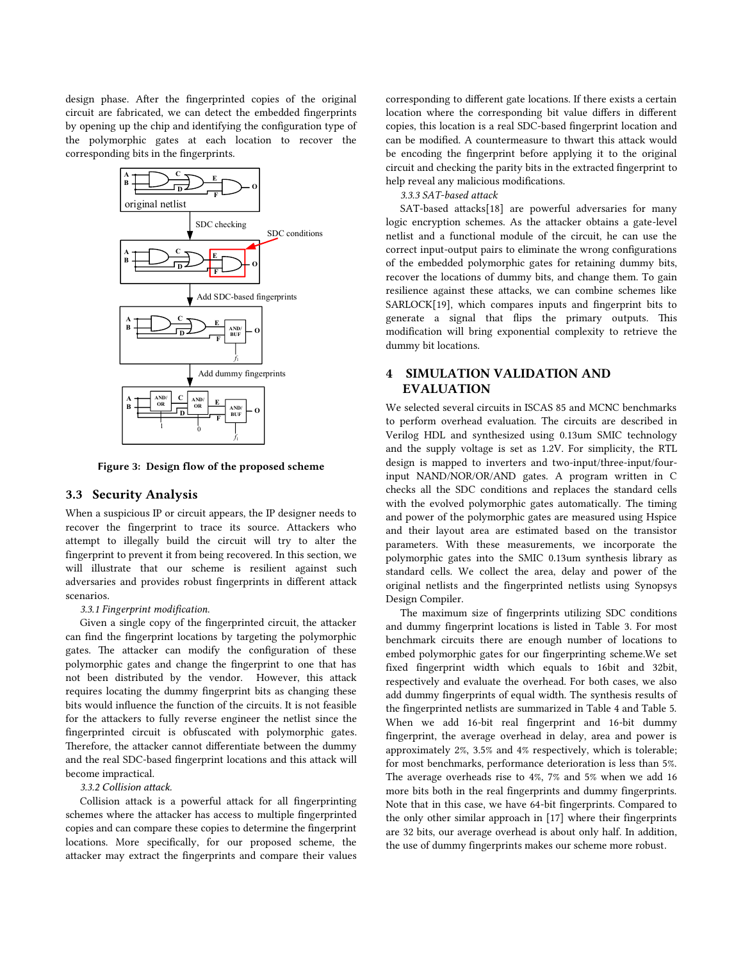design phase. After the fingerprinted copies of the original circuit are fabricated, we can detect the embedded fingerprints by opening up the chip and identifying the configuration type of the polymorphic gates at each location to recover the corresponding bits in the fingerprints.



Figure 3: Design flow of the proposed scheme

## 3.3 Security Analysis

When a suspicious IP or circuit appears, the IP designer needs to recover the fingerprint to trace its source. Attackers who attempt to illegally build the circuit will try to alter the fingerprint to prevent it from being recovered. In this section, we will illustrate that our scheme is resilient against such adversaries and provides robust fingerprints in different attack scenarios.

*3.3.1 Fingerprint modification.*

Given a single copy of the fingerprinted circuit, the attacker can find the fingerprint locations by targeting the polymorphic gates. The attacker can modify the configuration of these polymorphic gates and change the fingerprint to one that has not been distributed by the vendor. However, this attack requires locating the dummy fingerprint bits as changing these bits would influence the function of the circuits. It is not feasible for the attackers to fully reverse engineer the netlist since the fingerprinted circuit is obfuscated with polymorphic gates. Therefore, the attacker cannot differentiate between the dummy and the real SDC-based fingerprint locations and this attack will become impractical.

## *3.3.2 Collision attack.*

Collision attack is a powerful attack for all fingerprinting schemes where the attacker has access to multiple fingerprinted copies and can compare these copies to determine the fingerprint locations. More specifically, for our proposed scheme, the attacker may extract the fingerprints and compare their values

corresponding to different gate locations. If there exists a certain location where the corresponding bit value differs in different copies, this location is a real SDC-based fingerprint location and can be modified. A countermeasure to thwart this attack would be encoding the fingerprint before applying it to the original circuit and checking the parity bits in the extracted fingerprint to help reveal any malicious modifications.

*3.3.3 SAT-based attack*

SAT-based attacks[18] are powerful adversaries for many logic encryption schemes. As the attacker obtains a gate-level netlist and a functional module of the circuit, he can use the correct input-output pairs to eliminate the wrong configurations of the embedded polymorphic gates for retaining dummy bits, recover the locations of dummy bits, and change them. To gain resilience against these attacks, we can combine schemes like SARLOCK[19], which compares inputs and fingerprint bits to generate a signal that flips the primary outputs. This modification will bring exponential complexity to retrieve the dummy bit locations.

# 4 SIMULATION VALIDATION AND EVALUATION

We selected several circuits in ISCAS 85 and MCNC benchmarks to perform overhead evaluation. The circuits are described in Verilog HDL and synthesized using 0.13um SMIC technology and the supply voltage is set as 1.2V. For simplicity, the RTL design is mapped to inverters and two-input/three-input/fourinput NAND/NOR/OR/AND gates. A program written in C checks all the SDC conditions and replaces the standard cells with the evolved polymorphic gates automatically. The timing and power of the polymorphic gates are measured using Hspice and their layout area are estimated based on the transistor parameters. With these measurements, we incorporate the polymorphic gates into the SMIC 0.13um synthesis library as standard cells. We collect the area, delay and power of the original netlists and the fingerprinted netlists using Synopsys Design Compiler.

The maximum size of fingerprints utilizing SDC conditions and dummy fingerprint locations is listed in Table 3. For most benchmark circuits there are enough number of locations to embed polymorphic gates for our fingerprinting scheme.We set fixed fingerprint width which equals to 16bit and 32bit, respectively and evaluate the overhead. For both cases, we also add dummy fingerprints of equal width. The synthesis results of the fingerprinted netlists are summarized in Table 4 and Table 5. When we add 16-bit real fingerprint and 16-bit dummy fingerprint, the average overhead in delay, area and power is approximately 2%, 3.5% and 4% respectively, which is tolerable; for most benchmarks, performance deterioration is less than 5%. The average overheads rise to 4%, 7% and 5% when we add 16 more bits both in the real fingerprints and dummy fingerprints. Note that in this case, we have 64-bit fingerprints. Compared to the only other similar approach in [17] where their fingerprints are 32 bits, our average overhead is about only half. In addition, the use of dummy fingerprints makes our scheme more robust.